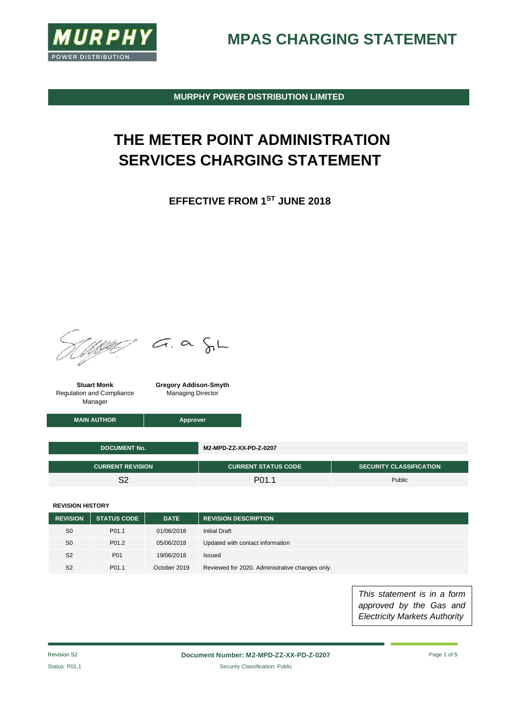

**MPAS CHARGING STATEMENT**

**MURPHY POWER DISTRIBUTION LIMITED**

## **THE METER POINT ADMINISTRATION SERVICES CHARGING STATEMENT**

**EFFECTIVE FROM 1ST JUNE 2018**



We G.a SL

**Stuart Monk** Regulation and Compliance Manager

**Gregory Addison-Smyth** Managing Director

**MAIN AUTHOR Approver** 

| <b>DOCUMENT No.</b>     | M2-MPD-ZZ-XX-PD-Z-0207     |                                |  |
|-------------------------|----------------------------|--------------------------------|--|
| <b>CURRENT REVISION</b> | <b>CURRENT STATUS CODE</b> | <b>SECURITY CLASSIFICATION</b> |  |
| ິດ                      | P <sub>01.1</sub>          | Public                         |  |

**REVISION HISTORY**

| <b>REVISION</b> | <b>STATUS CODE</b> | <b>DATE</b>  | <b>REVISION DESCRIPTION</b>                     |
|-----------------|--------------------|--------------|-------------------------------------------------|
| S <sub>0</sub>  | P <sub>01.1</sub>  | 01/06/2018   | Initial Draft                                   |
| S <sub>0</sub>  | P <sub>01.2</sub>  | 05/06/2018   | Updated with contact information                |
| S <sub>2</sub>  | P01                | 19/06/2018   | Issued                                          |
| S <sub>2</sub>  | P <sub>01.1</sub>  | October 2019 | Reviewed for 2020. Administrative changes only. |

*This statement is in a form approved by the Gas and Electricity Markets Authority*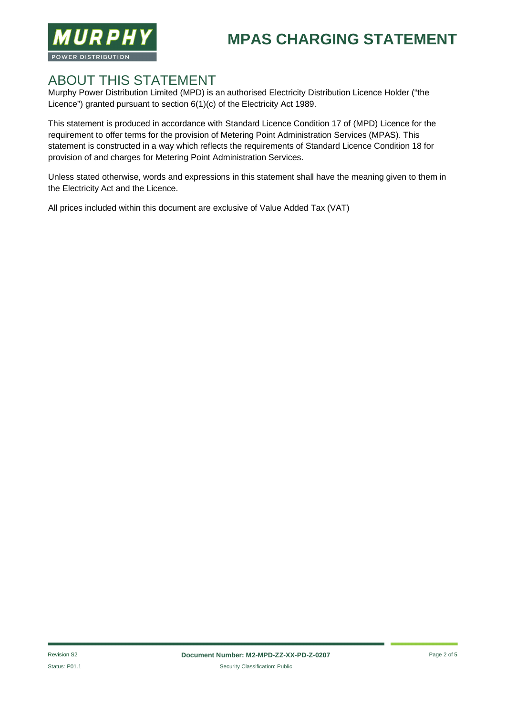



#### ABOUT THIS STATEMENT

Murphy Power Distribution Limited (MPD) is an authorised Electricity Distribution Licence Holder ("the Licence") granted pursuant to section 6(1)(c) of the Electricity Act 1989.

This statement is produced in accordance with Standard Licence Condition 17 of (MPD) Licence for the requirement to offer terms for the provision of Metering Point Administration Services (MPAS). This statement is constructed in a way which reflects the requirements of Standard Licence Condition 18 for provision of and charges for Metering Point Administration Services.

Unless stated otherwise, words and expressions in this statement shall have the meaning given to them in the Electricity Act and the Licence.

All prices included within this document are exclusive of Value Added Tax (VAT)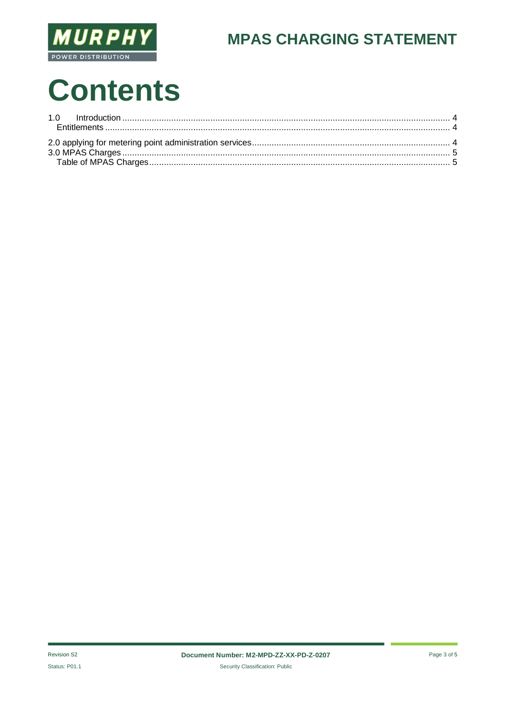

### **MPAS CHARGING STATEMENT**

# **Contents**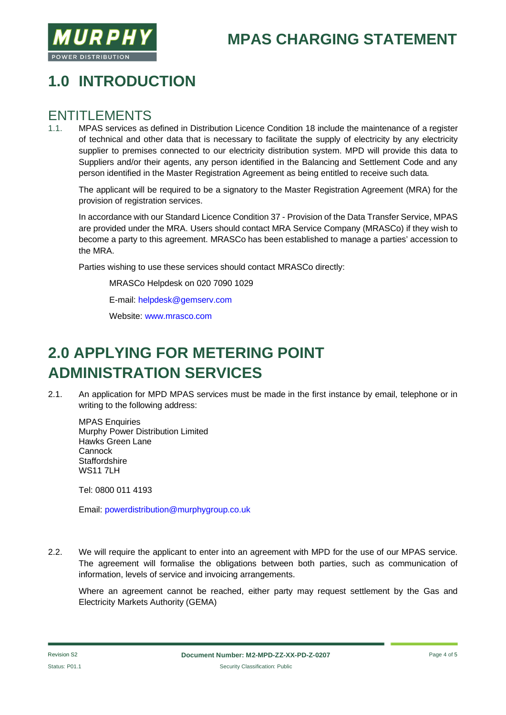

#### **MPAS CHARGING STATEMENT**

#### **1.0 INTRODUCTION**

## ENTITLEMENTS

1.1. MPAS services as defined in Distribution Licence Condition 18 include the maintenance of a register of technical and other data that is necessary to facilitate the supply of electricity by any electricity supplier to premises connected to our electricity distribution system. MPD will provide this data to Suppliers and/or their agents, any person identified in the Balancing and Settlement Code and any person identified in the Master Registration Agreement as being entitled to receive such data.

The applicant will be required to be a signatory to the Master Registration Agreement (MRA) for the provision of registration services.

In accordance with our Standard Licence Condition 37 - Provision of the Data Transfer Service, MPAS are provided under the MRA. Users should contact MRA Service Company (MRASCo) if they wish to become a party to this agreement. MRASCo has been established to manage a parties' accession to the MRA.

Parties wishing to use these services should contact MRASCo directly:

MRASCo Helpdesk on 020 7090 1029

E-mail: helpdesk@gemserv.com

Website: www.mrasco.com

#### **2.0 APPLYING FOR METERING POINT ADMINISTRATION SERVICES**

2.1. An application for MPD MPAS services must be made in the first instance by email, telephone or in writing to the following address:

MPAS Enquiries Murphy Power Distribution Limited Hawks Green Lane **Cannock Staffordshire WS11 7LH** 

Tel: 0800 011 4193

Email: powerdistribution@murphygroup.co.uk

2.2. We will require the applicant to enter into an agreement with MPD for the use of our MPAS service. The agreement will formalise the obligations between both parties, such as communication of information, levels of service and invoicing arrangements.

Where an agreement cannot be reached, either party may request settlement by the Gas and Electricity Markets Authority (GEMA)